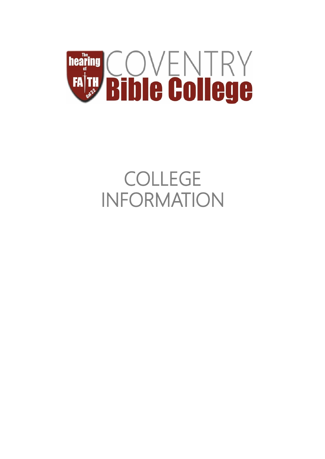

# COLLEGE INFORMATION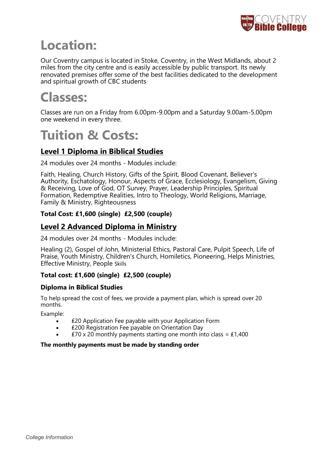

# **Location:**

Our Coventry campus is located in Stoke, Coventry, in the West Midlands, about 2 miles from the city centre and is easily accessible by public transport. Its newly renovated premises offer some of the best facilities dedicated to the development and spiritual growth of CBC students

# **Classes:**

Classes are run on a Friday from 6.00pm-9.00pm and a Saturday 9.00am-5.00pm one weekend in every three.

# **Tuition & Costs:**

# **Level 1 Diploma in Biblical Studies**

24 modules over 24 months - Modules include:

Faith, Healing, Church History, Gifts of the Spirit, Blood Covenant, Believer's Authority, Eschatology, Honour, Aspects of Grace, Ecclesiology, Evangelism, Giving & Receiving, Love of God, OT Survey, Prayer, Leadership Principles, Spiritual Formation, Redemptive Realities, Intro to Theology, World Religions, Marriage, Family & Ministry, Righteousness

# **Total Cost: ₤1,600 (single) ₤2,500 (couple)**

# **Level 2 Advanced Diploma in Ministry**

24 modules over 24 months - Modules include:

Healing (2), Gospel of John, Ministerial Ethics, Pastoral Care, Pulpit Speech, Life of Praise, Youth Ministry, Children's Church, Homiletics, Pioneering, Helps Ministries, Effective Ministry, People Skills

# **Total cost: ₤1,600 (single) ₤2,500 (couple)**

### **Diploma in Biblical Studies**

To help spread the cost of fees, we provide a payment plan, which is spread over 20 months.

Example:

- ₤20 Application Fee payable with your Application Form
- **£200 Registration Fee payable on Orientation Day**
- $£70 \times 20$  monthly payments starting one month into class =  $£1,400$

### **The monthly payments must be made by standing order**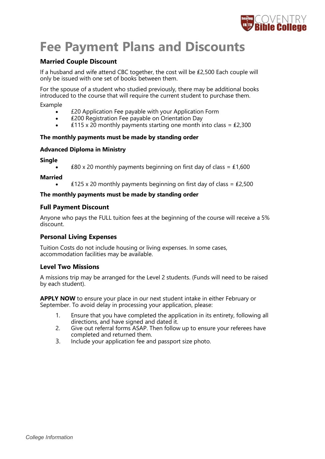

# **Fee Payment Plans and Discounts**

### **Married Couple Discount**

If a husband and wife attend CBC together, the cost will be ₤2,500 Each couple will only be issued with one set of books between them.

For the spouse of a student who studied previously, there may be additional books introduced to the course that will require the current student to purchase them. Example

- £20 Application Fee payable with your Application Form
- **£200 Registration Fee payable on Orientation Day**
- ₤115 x 20 monthly payments starting one month into class = ₤2,300

#### **The monthly payments must be made by standing order**

#### **Advanced Diploma in Ministry**

#### **Single**

£80 x 20 monthly payments beginning on first day of class = £1,600

#### **Married**

■  $£125 \times 20$  monthly payments beginning on first day of class =  $£2,500$ 

#### **The monthly payments must be made by standing order**

### **Full Payment Discount**

Anyone who pays the FULL tuition fees at the beginning of the course will receive a 5% discount.

### **Personal Living Expenses**

Tuition Costs do not include housing or living expenses. In some cases, accommodation facilities may be available.

### **Level Two Missions**

A missions trip may be arranged for the Level 2 students. (Funds will need to be raised by each student).

**APPLY NOW** to ensure your place in our next student intake in either February or September. To avoid delay in processing your application, please:

- 1. Ensure that you have completed the application in its entirety, following all directions, and have signed and dated it.
- 2. Give out referral forms ASAP. Then follow up to ensure your referees have completed and returned them.
- 3. Include your application fee and passport size photo.